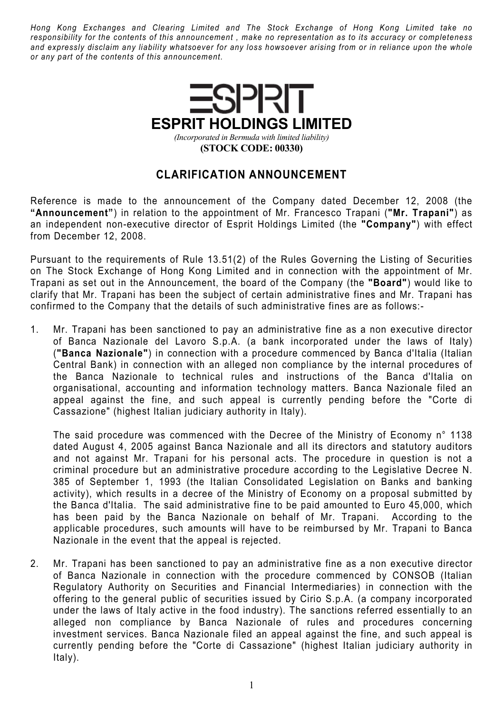Hong Kong Exchanges and Clearing Limited and The Stock Exchange of Hong Kong Limited take no responsibility for the contents of this announcement , make no representation as to its accuracy or completeness and expressly disclaim any liability whatsoever for any loss howsoever arising from or in reliance upon the whole or any part of the contents of this announcement.



## CLARIFICATION ANNOUNCEMENT

Reference is made to the announcement of the Company dated December 12, 2008 (the "Announcement") in relation to the appointment of Mr. Francesco Trapani ("Mr. Trapani") as an independent non-executive director of Esprit Holdings Limited (the "Company") with effect from December 12, 2008.

Pursuant to the requirements of Rule 13.51(2) of the Rules Governing the Listing of Securities on The Stock Exchange of Hong Kong Limited and in connection with the appointment of Mr. Trapani as set out in the Announcement, the board of the Company (the "Board") would like to clarify that Mr. Trapani has been the subject of certain administrative fines and Mr. Trapani has confirmed to the Company that the details of such administrative fines are as follows:-

1. Mr. Trapani has been sanctioned to pay an administrative fine as a non executive director of Banca Nazionale del Lavoro S.p.A. (a bank incorporated under the laws of Italy) ("Banca Nazionale") in connection with a procedure commenced by Banca d'Italia (Italian Central Bank) in connection with an alleged non compliance by the internal procedures of the Banca Nazionale to technical rules and instructions of the Banca d'Italia on organisational, accounting and information technology matters. Banca Nazionale filed an appeal against the fine, and such appeal is currently pending before the "Corte di Cassazione" (highest Italian judiciary authority in Italy).

The said procedure was commenced with the Decree of the Ministry of Economy n° 1138 dated August 4, 2005 against Banca Nazionale and all its directors and statutory auditors and not against Mr. Trapani for his personal acts. The procedure in question is not a criminal procedure but an administrative procedure according to the Legislative Decree N. 385 of September 1, 1993 (the Italian Consolidated Legislation on Banks and banking activity), which results in a decree of the Ministry of Economy on a proposal submitted by the Banca d'Italia. The said administrative fine to be paid amounted to Euro 45,000, which has been paid by the Banca Nazionale on behalf of Mr. Trapani. According to the applicable procedures, such amounts will have to be reimbursed by Mr. Trapani to Banca Nazionale in the event that the appeal is rejected.

2. Mr. Trapani has been sanctioned to pay an administrative fine as a non executive director of Banca Nazionale in connection with the procedure commenced by CONSOB (Italian Regulatory Authority on Securities and Financial Intermediaries) in connection with the offering to the general public of securities issued by Cirio S.p.A. (a company incorporated under the laws of Italy active in the food industry). The sanctions referred essentially to an alleged non compliance by Banca Nazionale of rules and procedures concerning investment services. Banca Nazionale filed an appeal against the fine, and such appeal is currently pending before the "Corte di Cassazione" (highest Italian judiciary authority in Italy).